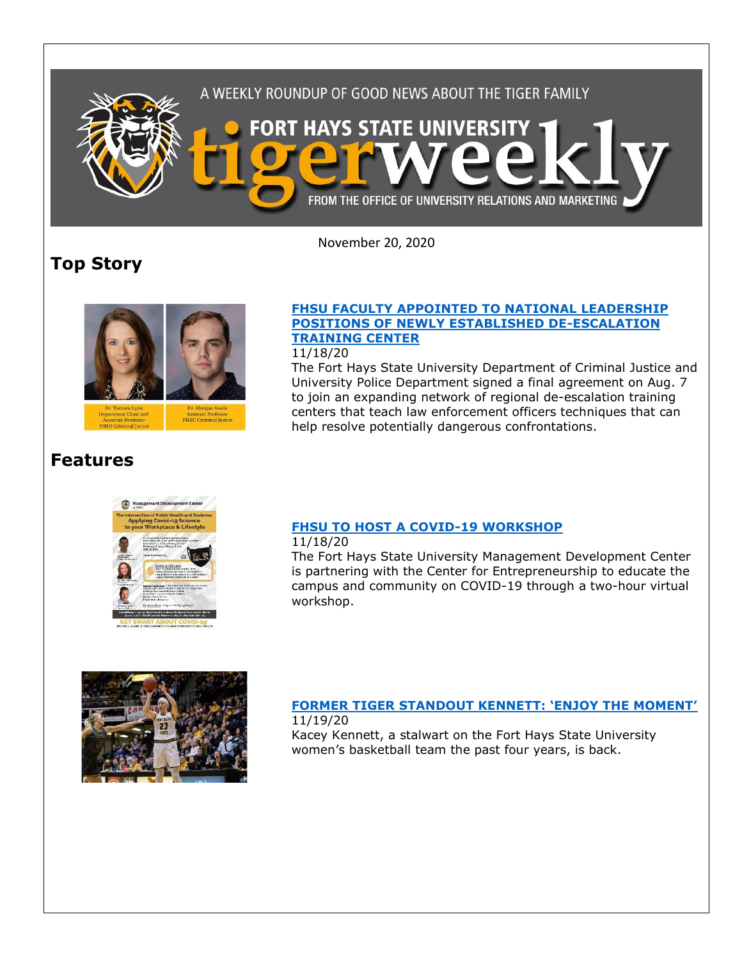

November 20, 2020

## **Top Story**



### **[FHSU FACULTY APPOINTED TO NATIONAL LEADERSHIP](https://www.fhsu.edu/news/2020/11/fhsu-faculty-appointed-to-national-leadership-positions-of-newly-established-de-escalation-training-center)  [POSITIONS OF NEWLY ESTABLISHED DE-ESCALATION](https://www.fhsu.edu/news/2020/11/fhsu-faculty-appointed-to-national-leadership-positions-of-newly-established-de-escalation-training-center)  [TRAINING CENTER](https://www.fhsu.edu/news/2020/11/fhsu-faculty-appointed-to-national-leadership-positions-of-newly-established-de-escalation-training-center)**

11/18/20

The Fort Hays State University Department of Criminal Justice and University Police Department signed a final agreement on Aug. 7 to join an expanding network of regional de-escalation training centers that teach law enforcement officers techniques that can help resolve potentially dangerous confrontations.

## **Features**



## **[FHSU TO HOST A COVID-19 WORKSHOP](https://www.fhsu.edu/news/2020/11/fhsu-to-host-a-covid-19-workshop)**

11/18/20

The Fort Hays State University Management Development Center is partnering with the Center for Entrepreneurship to educate the campus and community on COVID-19 through a two-hour virtual workshop.



#### **[FORMER TIGER STANDOUT KENNETT: 'ENJOY THE MOMENT'](https://www.fhsu.edu/news/2020/11/former-tiger-standout-kennett-enjoy-the-moment)** 11/19/20

Kacey Kennett, a stalwart on the Fort Hays State University women's basketball team the past four years, is back.